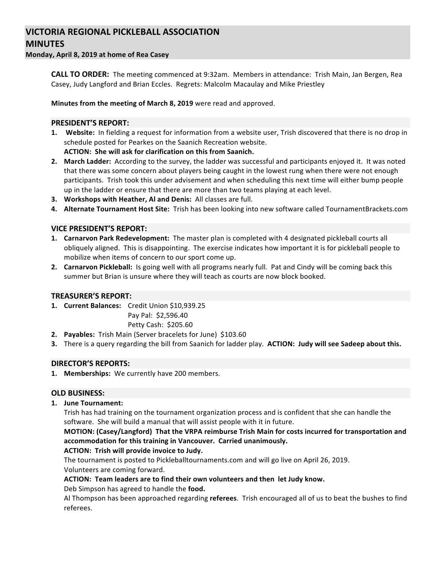# **VICTORIA REGIONAL PICKLEBALL ASSOCIATION MINUTES**

**Monday, April 8, 2019 at home of Rea Casey**

**CALL TO ORDER:** The meeting commenced at 9:32am. Members in attendance: Trish Main, Jan Bergen, Rea Casey, Judy Langford and Brian Eccles. Regrets: Malcolm Macaulay and Mike Priestley

**Minutes from the meeting of March 8, 2019** were read and approved.

## **PRESIDENT'S REPORT:**

- **1.** Website: In fielding a request for information from a website user, Trish discovered that there is no drop in schedule posted for Pearkes on the Saanich Recreation website. **ACTION: She will ask for clarification on this from Saanich.**
- 2. March Ladder: According to the survey, the ladder was successful and participants enjoyed it. It was noted that there was some concern about players being caught in the lowest rung when there were not enough participants. Trish took this under advisement and when scheduling this next time will either bump people up in the ladder or ensure that there are more than two teams playing at each level.
- **3.** Workshops with Heather, Al and Denis: All classes are full.
- **4.** Alternate Tournament Host Site: Trish has been looking into new software called TournamentBrackets.com

### **VICE PRESIDENT'S REPORT:**

- **1. Carnarvon Park Redevelopment:** The master plan is completed with 4 designated pickleball courts all obliquely aligned. This is disappointing. The exercise indicates how important it is for pickleball people to mobilize when items of concern to our sport come up.
- **2. Carnarvon Pickleball:** Is going well with all programs nearly full. Pat and Cindy will be coming back this summer but Brian is unsure where they will teach as courts are now block booked.

#### **TREASURER'S REPORT:**

- 1. **Current Balances:** Credit Union \$10,939.25
	- Pay Pal: \$2,596.40

Petty Cash: \$205.60

- **2.** Payables: Trish Main (Server bracelets for June) \$103.60
- **3.** There is a query regarding the bill from Saanich for ladder play. **ACTION: Judy will see Sadeep about this.**

#### **DIRECTOR'S REPORTS:**

1. Memberships: We currently have 200 members.

#### **OLD BUSINESS:**

**1. June Tournament:**

Trish has had training on the tournament organization process and is confident that she can handle the software. She will build a manual that will assist people with it in future.

**MOTION: (Casey/Langford) That the VRPA reimburse Trish Main for costs incurred for transportation and** accommodation for this training in Vancouver. Carried unanimously.

#### ACTION: Trish will provide invoice to Judy.

The tournament is posted to Pickleballtournaments.com and will go live on April 26, 2019. Volunteers are coming forward.

## ACTION: Team leaders are to find their own volunteers and then let Judy know.

Deb Simpson has agreed to handle the **food.** 

Al Thompson has been approached regarding referees. Trish encouraged all of us to beat the bushes to find referees.